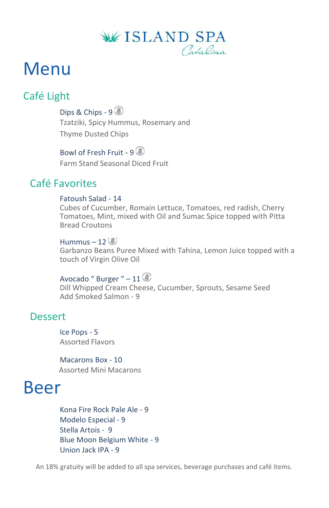

# Menu

## Café Light

Dips & Chips - 9 Tzatziki, Spicy Hummus, Rosemary and Thyme Dusted Chips

Bowl of Fresh Fruit -  $9$   $\circledast$ Farm Stand Seasonal Diced Fruit

## Café Favorites

#### Fatoush Salad - 14

Cubes of Cucumber, Romain Lettuce, Tomatoes, red radish, Cherry Tomatoes, Mint, mixed with Oil and Sumac Spice topped with Pitta Bread Croutons

Hummus  $-12$ Garbanzo Beans Puree Mixed with Tahina, Lemon Juice topped with a touch of Virgin Olive Oil

### Avocado " Burger "  $-11$

Dill Whipped Cream Cheese, Cucumber, Sprouts, Sesame Seed Add Smoked Salmon - 9

### Dessert

Ice Pops - 5 Assorted Flavors

Macarons Box - 10 Assorted Mini Macarons

## Beer

Kona Fire Rock Pale Ale - 9 Modelo Especial - 9 Stella Artois - 9 Blue Moon Belgium White - 9 Union Jack IPA - 9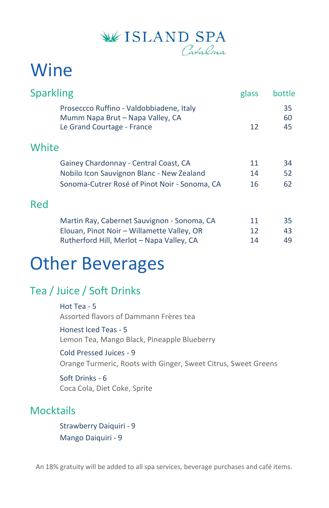

# Wine

| Proseccco Ruffino - Valdobbiadene, Italy<br>Mumm Napa Brut - Napa Valley, CA<br>Le Grand Courtage - France | 12              | 35<br>60<br>45 |
|------------------------------------------------------------------------------------------------------------|-----------------|----------------|
| White                                                                                                      |                 |                |
| Gainey Chardonnay - Central Coast, CA                                                                      | 11              | 34             |
| Nobilo Icon Sauvignon Blanc - New Zealand                                                                  | 14              | 52             |
| Sonoma-Cutrer Rosé of Pinot Noir - Sonoma, CA                                                              | 16              | 62             |
| Red                                                                                                        |                 |                |
| Martin Ray, Cabernet Sauvignon - Sonoma, CA                                                                | 11              | 35             |
| Elouan, Pinot Noir - Willamette Valley, OR                                                                 | 12 <sup>°</sup> | 43             |
| Rutherford Hill, Merlot - Napa Valley, CA                                                                  | 14              | 49             |

## Other Beverages

## Tea / Juice / Soft Drinks

Hot Tea - 5 Assorted flavors of Dammann Frères tea

Honest Iced Teas - 5 Lemon Tea, Mango Black, Pineapple Blueberry

Cold Pressed Juices - 9

Orange Turmeric, Roots with Ginger, Sweet Citrus, Sweet Greens

Soft Drinks - 6 Coca Cola, Diet Coke, Sprite

## **Mocktails**

Strawberry Daiquiri - 9 Mango Daiquiri - 9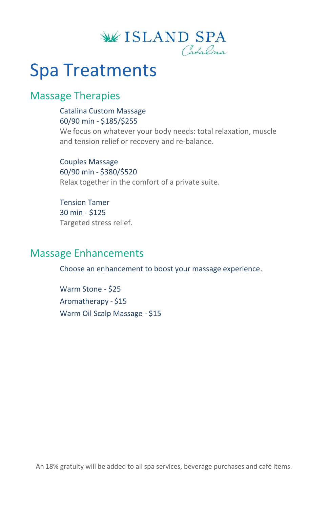

## Spa Treatments

### Massage Therapies

Catalina Custom Massage 60/90 min - \$185/\$255

We focus on whatever your body needs: total relaxation, muscle and tension relief or recovery and re-balance.

Couples Massage 60/90 min - \$380/\$520 Relax together in the comfort of a private suite.

Tension Tamer 30 min - \$125 Targeted stress relief.

### Massage Enhancements

Choose an enhancement to boost your massage experience.

Warm Stone - \$25 Aromatherapy - \$15 Warm Oil Scalp Massage - \$15